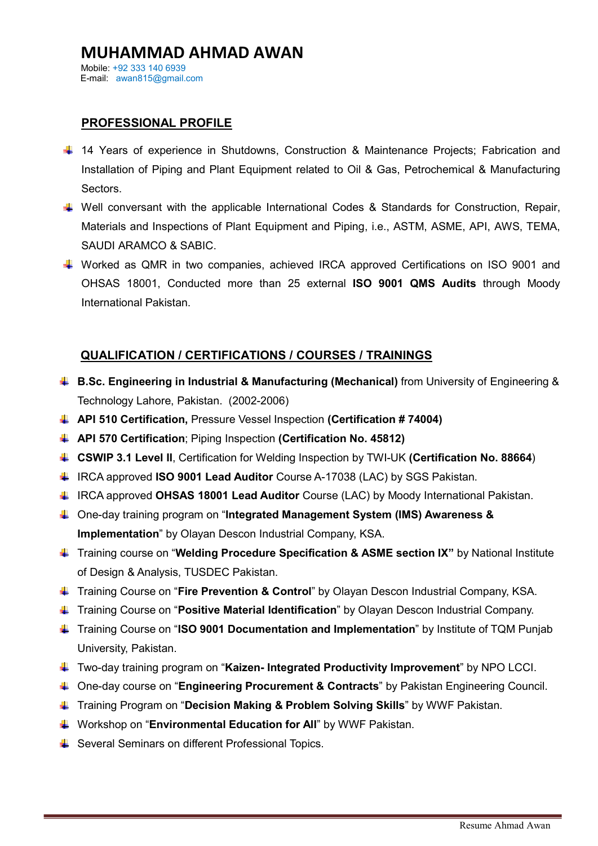## MUHAMMAD AHMAD AWAN Mobile: +92 333 140 6939 E-mail: awan815@gmail.com

# PROFESSIONAL PROFILE

- 14 Years of experience in Shutdowns, Construction & Maintenance Projects; Fabrication and Installation of Piping and Plant Equipment related to Oil & Gas, Petrochemical & Manufacturing Sectors.
- $\downarrow$  Well conversant with the applicable International Codes & Standards for Construction, Repair, Materials and Inspections of Plant Equipment and Piping, i.e., ASTM, ASME, API, AWS, TEMA, SAUDI ARAMCO & SABIC.
- Worked as QMR in two companies, achieved IRCA approved Certifications on ISO 9001 and OHSAS 18001, Conducted more than 25 external ISO 9001 QMS Audits through Moody International Pakistan.

# QUALIFICATION / CERTIFICATIONS / COURSES / TRAININGS

- **B.Sc. Engineering in Industrial & Manufacturing (Mechanical)** from University of Engineering & Technology Lahore, Pakistan. (2002-2006)
- $\Box$  API 510 Certification, Pressure Vessel Inspection (Certification # 74004)
- **API 570 Certification:** Piping Inspection (Certification No. 45812)
- **CSWIP 3.1 Level II**, Certification for Welding Inspection by TWI-UK (Certification No. 88664)
- IRCA approved **ISO 9001 Lead Auditor** Course A-17038 (LAC) by SGS Pakistan.
- ↓ IRCA approved OHSAS 18001 Lead Auditor Course (LAC) by Moody International Pakistan.
- ↓ One-day training program on "Integrated Management System (IMS) Awareness & Implementation" by Olayan Descon Industrial Company, KSA.
- Training course on "Welding Procedure Specification & ASME section IX" by National Institute of Design & Analysis, TUSDEC Pakistan.
- $\ddot{\bullet}$  Training Course on "Fire Prevention & Control" by Olayan Descon Industrial Company, KSA.
- Training Course on "Positive Material Identification" by Olayan Descon Industrial Company.
- ↓ Training Course on "ISO 9001 Documentation and Implementation" by Institute of TQM Punjab University, Pakistan.
- ↓ Two-day training program on "Kaizen- Integrated Productivity Improvement" by NPO LCCI.
- ↓ One-day course on "Engineering Procurement & Contracts" by Pakistan Engineering Council.
- ↓ Training Program on "Decision Making & Problem Solving Skills" by WWF Pakistan.
- Workshop on "Environmental Education for All" by WWF Pakistan.
- Several Seminars on different Professional Topics.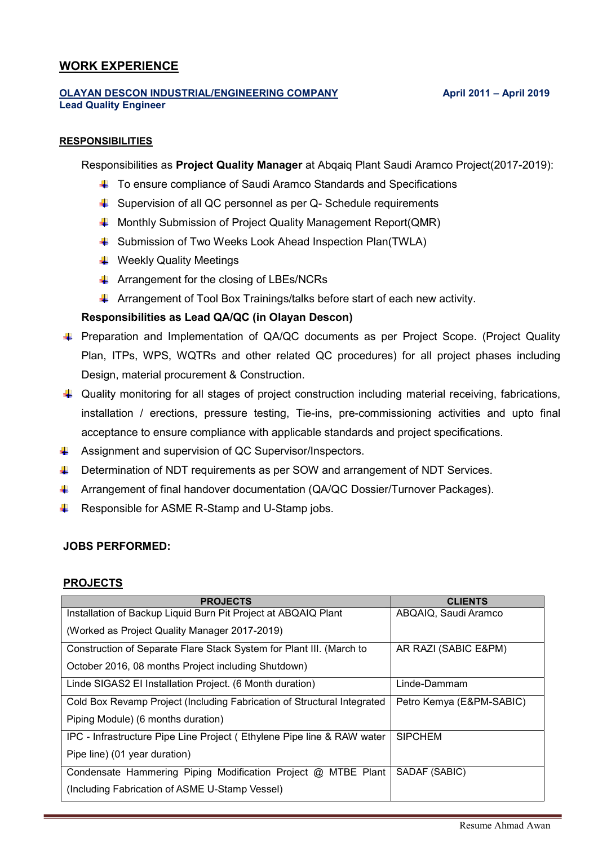# WORK EXPERIENCE

### OLAYAN DESCON INDUSTRIAL/ENGINEERING COMPANY April 2011 - April 2019 Lead Quality Engineer

### RESPONSIBILITIES

Responsibilities as **Project Quality Manager** at Abqaiq Plant Saudi Aramco Project(2017-2019):

- To ensure compliance of Saudi Aramco Standards and Specifications
- $\downarrow$  Supervision of all QC personnel as per Q- Schedule requirements
- **4** Monthly Submission of Project Quality Management Report(QMR)
- Submission of Two Weeks Look Ahead Inspection Plan(TWLA)
- **↓ Weekly Quality Meetings**
- $\downarrow$  Arrangement for the closing of LBEs/NCRs
- $\blacktriangle$  Arrangement of Tool Box Trainings/talks before start of each new activity.

## Responsibilities as Lead QA/QC (in Olayan Descon)

- F Preparation and Implementation of QA/QC documents as per Project Scope. (Project Quality Plan, ITPs, WPS, WQTRs and other related QC procedures) for all project phases including Design, material procurement & Construction.
- $\downarrow$  Quality monitoring for all stages of project construction including material receiving, fabrications, installation / erections, pressure testing, Tie-ins, pre-commissioning activities and upto final acceptance to ensure compliance with applicable standards and project specifications.
- Assignment and supervision of QC Supervisor/Inspectors.
- **Determination of NDT requirements as per SOW and arrangement of NDT Services.**
- **4** Arrangement of final handover documentation (QA/QC Dossier/Turnover Packages).
- $\overline{\phantom{a}}$  Responsible for ASME R-Stamp and U-Stamp jobs.

## JOBS PERFORMED:

## PROJECTS

| <b>PROJECTS</b>                                                         | <b>CLIENTS</b>           |
|-------------------------------------------------------------------------|--------------------------|
| Installation of Backup Liquid Burn Pit Project at ABQAIQ Plant          | ABQAIQ, Saudi Aramco     |
| (Worked as Project Quality Manager 2017-2019)                           |                          |
| Construction of Separate Flare Stack System for Plant III. (March to    | AR RAZI (SABIC E&PM)     |
| October 2016, 08 months Project including Shutdown)                     |                          |
| Linde SIGAS2 EI Installation Project. (6 Month duration)                | Linde-Dammam             |
| Cold Box Revamp Project (Including Fabrication of Structural Integrated | Petro Kemya (E&PM-SABIC) |
| Piping Module) (6 months duration)                                      |                          |
| IPC - Infrastructure Pipe Line Project (Ethylene Pipe line & RAW water  | <b>SIPCHEM</b>           |
| Pipe line) (01 year duration)                                           |                          |
| Condensate Hammering Piping Modification Project @ MTBE Plant           | SADAF (SABIC)            |
| (Including Fabrication of ASME U-Stamp Vessel)                          |                          |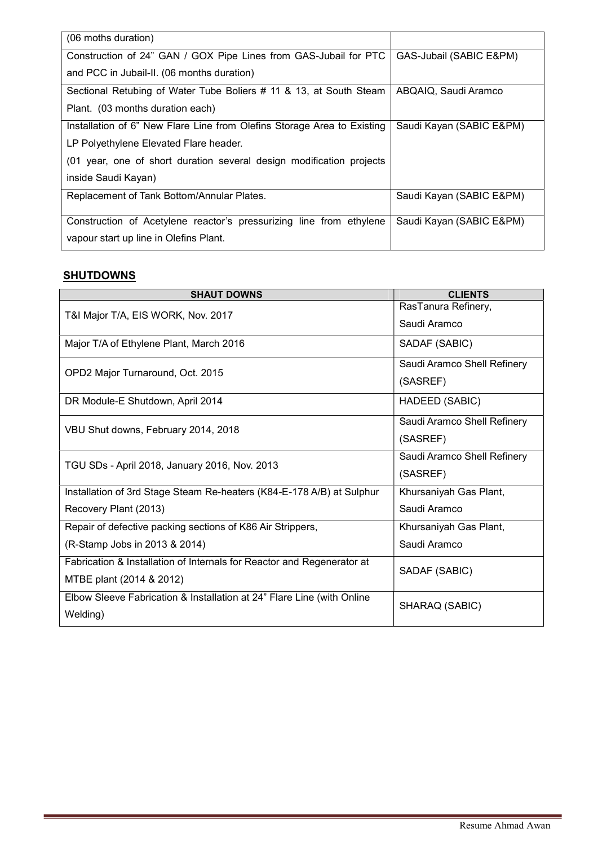| (06 moths duration)                                                     |                          |
|-------------------------------------------------------------------------|--------------------------|
|                                                                         |                          |
| Construction of 24" GAN / GOX Pipe Lines from GAS-Jubail for PTC        | GAS-Jubail (SABIC E&PM)  |
|                                                                         |                          |
| and PCC in Jubail-II. (06 months duration)                              |                          |
| Sectional Retubing of Water Tube Boliers # 11 & 13, at South Steam      | ABQAIQ, Saudi Aramco     |
| Plant. (03 months duration each)                                        |                          |
|                                                                         |                          |
| Installation of 6" New Flare Line from Olefins Storage Area to Existing | Saudi Kayan (SABIC E&PM) |
| LP Polyethylene Elevated Flare header.                                  |                          |
| (01 year, one of short duration several design modification projects    |                          |
| inside Saudi Kayan)                                                     |                          |
| Replacement of Tank Bottom/Annular Plates.                              | Saudi Kayan (SABIC E&PM) |
|                                                                         |                          |
|                                                                         |                          |
| Construction of Acetylene reactor's pressurizing line from ethylene     | Saudi Kayan (SABIC E&PM) |
| vapour start up line in Olefins Plant.                                  |                          |
|                                                                         |                          |

# **SHUTDOWNS**

| <b>SHAUT DOWNS</b>                                                     | <b>CLIENTS</b>              |
|------------------------------------------------------------------------|-----------------------------|
| T&I Major T/A, EIS WORK, Nov. 2017                                     | RasTanura Refinery,         |
|                                                                        | Saudi Aramco                |
| Major T/A of Ethylene Plant, March 2016                                | SADAF (SABIC)               |
| OPD2 Major Turnaround, Oct. 2015                                       | Saudi Aramco Shell Refinery |
|                                                                        | (SASREF)                    |
| DR Module-E Shutdown, April 2014                                       | HADEED (SABIC)              |
| VBU Shut downs, February 2014, 2018                                    | Saudi Aramco Shell Refinery |
|                                                                        | (SASREF)                    |
| TGU SDs - April 2018, January 2016, Nov. 2013                          | Saudi Aramco Shell Refinery |
|                                                                        | (SASREF)                    |
| Installation of 3rd Stage Steam Re-heaters (K84-E-178 A/B) at Sulphur  | Khursaniyah Gas Plant,      |
| Recovery Plant (2013)                                                  | Saudi Aramco                |
| Repair of defective packing sections of K86 Air Strippers,             | Khursaniyah Gas Plant,      |
| (R-Stamp Jobs in 2013 & 2014)                                          | Saudi Aramco                |
| Fabrication & Installation of Internals for Reactor and Regenerator at | SADAF (SABIC)               |
| MTBE plant (2014 & 2012)                                               |                             |
| Elbow Sleeve Fabrication & Installation at 24" Flare Line (with Online | SHARAQ (SABIC)              |
| Welding)                                                               |                             |